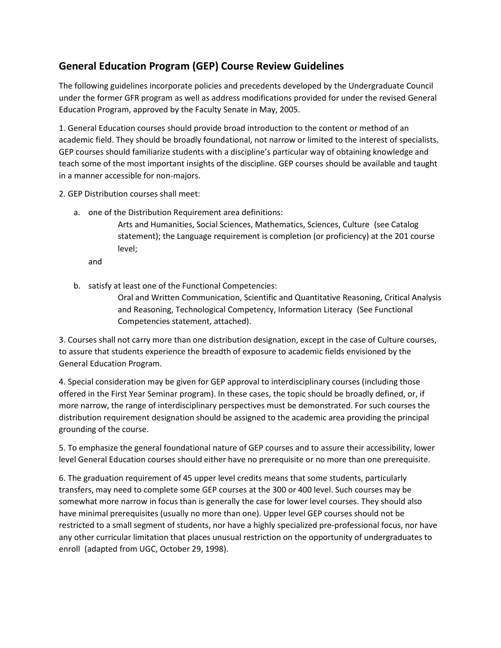## **General Education Program (GEP) Course Review Guidelines.**

The following guidelines incorporate policies and precedents developed by the Undergraduate Council under the former GFR program as well as address modifications provided for under the revised General Education Program, approved by the Faculty Senate in May, 2005.

1. General Education courses should provide broad introduction to the content or method of an academic field. They should be broadly foundational, not narrow or limited to the interest of specialists. GEP courses should familiarize students with a discipline's particular way of obtaining knowledge and teach some of the most important insights of the discipline. GEP courses should be available and taught in a manner accessible for non-majors.

2. GEP Distribution courses shall meet:

a. one of the Distribution Requirement area definitions:

Arts and Humanities, Social Sciences, Mathematics, Sciences, Culture (see Catalog statement); the Language requirement is completion (or proficiency) at the 201 course level; **.**

and **.**

b. satisfy at least one of the Functional Competencies:

Oral and Written Communication, Scientific and Quantitative Reasoning, Critical Analysis and Reasoning, Technological Competency, Information Literacy. (See Functional Competencies statement, attached).

3. Courses shall not carry more than one distribution designation, except in the case of Culture courses, to assure that students experience the breadth of exposure to academic fields envisioned by the General Education Program.

4. Special consideration may be given for GEP approval to interdisciplinary courses (including those offered in the First Year Seminar program). In these cases, the topic should be broadly defined, or, if more narrow, the range of interdisciplinary perspectives must be demonstrated. For such courses the distribution requirement designation should be assigned to the academic area providing the principal grounding of the course.

5. To emphasize the general foundational nature of GEP courses and to assure their accessibility, lower level General Education courses should either have no prerequisite or no more than one prerequisite.

6. The graduation requirement of 45 upper level credits means that some students, particularly transfers, may need to complete some GEP courses at the 300 or 400 level. Such courses may be somewhat more narrow in focus than is generally the case for lower level courses. They should also have minimal prerequisites (usually no more than one). Upper level GEP courses should not be restricted to a small segment of students, nor have a highly specialized pre-professional focus, nor have any other curricular limitation that places unusual restriction on the opportunity of undergraduates to enroll. (adapted from UGC, October 29, 1998).